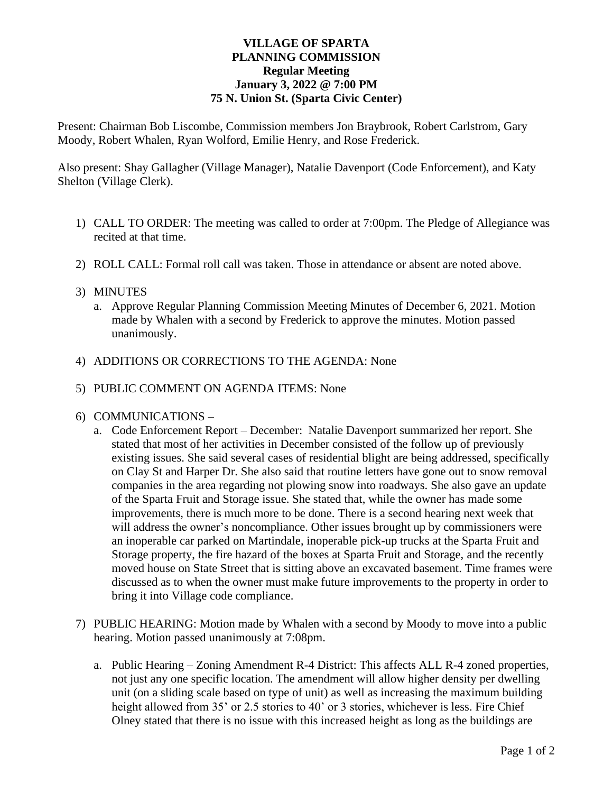# **VILLAGE OF SPARTA PLANNING COMMISSION Regular Meeting January 3, 2022 @ 7:00 PM 75 N. Union St. (Sparta Civic Center)**

Present: Chairman Bob Liscombe, Commission members Jon Braybrook, Robert Carlstrom, Gary Moody, Robert Whalen, Ryan Wolford, Emilie Henry, and Rose Frederick.

Also present: Shay Gallagher (Village Manager), Natalie Davenport (Code Enforcement), and Katy Shelton (Village Clerk).

- 1) CALL TO ORDER: The meeting was called to order at 7:00pm. The Pledge of Allegiance was recited at that time.
- 2) ROLL CALL: Formal roll call was taken. Those in attendance or absent are noted above.

# 3) MINUTES

- a. Approve Regular Planning Commission Meeting Minutes of December 6, 2021. Motion made by Whalen with a second by Frederick to approve the minutes. Motion passed unanimously.
- 4) ADDITIONS OR CORRECTIONS TO THE AGENDA: None
- 5) PUBLIC COMMENT ON AGENDA ITEMS: None

### 6) COMMUNICATIONS –

- a. Code Enforcement Report December: Natalie Davenport summarized her report. She stated that most of her activities in December consisted of the follow up of previously existing issues. She said several cases of residential blight are being addressed, specifically on Clay St and Harper Dr. She also said that routine letters have gone out to snow removal companies in the area regarding not plowing snow into roadways. She also gave an update of the Sparta Fruit and Storage issue. She stated that, while the owner has made some improvements, there is much more to be done. There is a second hearing next week that will address the owner's noncompliance. Other issues brought up by commissioners were an inoperable car parked on Martindale, inoperable pick-up trucks at the Sparta Fruit and Storage property, the fire hazard of the boxes at Sparta Fruit and Storage, and the recently moved house on State Street that is sitting above an excavated basement. Time frames were discussed as to when the owner must make future improvements to the property in order to bring it into Village code compliance.
- 7) PUBLIC HEARING: Motion made by Whalen with a second by Moody to move into a public hearing. Motion passed unanimously at 7:08pm.
	- a. Public Hearing Zoning Amendment R-4 District: This affects ALL R-4 zoned properties, not just any one specific location. The amendment will allow higher density per dwelling unit (on a sliding scale based on type of unit) as well as increasing the maximum building height allowed from 35' or 2.5 stories to 40' or 3 stories, whichever is less. Fire Chief Olney stated that there is no issue with this increased height as long as the buildings are